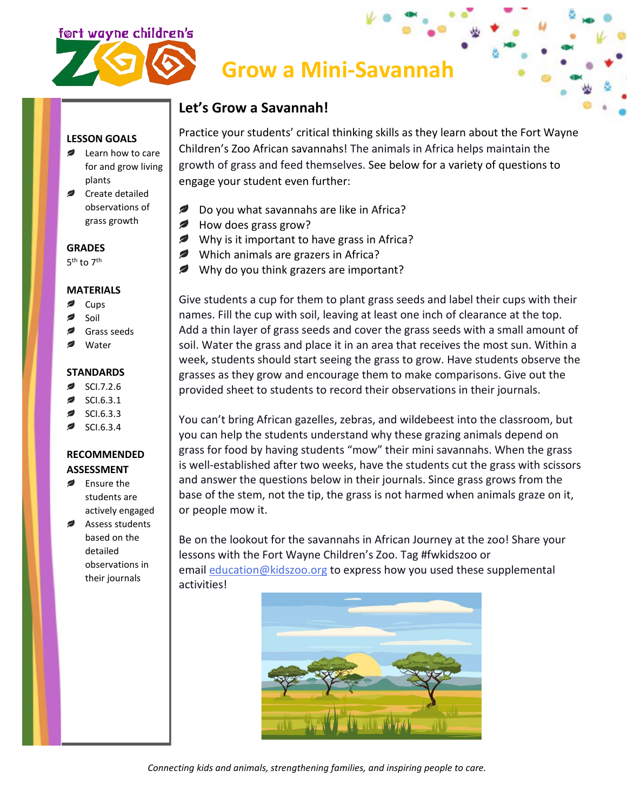

# **Grow a Mini-Savannah**

## **Let's Grow a Savannah!**

**LESSON GOALS**

- Learn how to care for and grow living plants
- Create detailed observations of grass growth

**GRADES**

5<sup>th</sup> to 7<sup>th</sup>

#### **MATERIALS**

- Cups
- Soil
- Grass seeds
- Water

### **STANDARDS**

- SCI.7.2.6
- SCI.6.3.1
- SCI.6.3.3
- SCI.6.3.4

## **RECOMMENDED ASSESSMENT**

- **Ensure the** students are actively engaged
- Assess students based on the detailed observations in their journals

Practice your students' critical thinking skills as they learn about the Fort Wayne Children's Zoo African savannahs! The animals in Africa helps maintain the growth of grass and feed themselves. See below for a variety of questions to engage your student even further:

- *₽* Do you what savannahs are like in Africa?
- $\sim$ How does grass grow?
- Why is it important to have grass in Africa?
- Which animals are grazers in Africa?
- Why do you think grazers are important?

Give students a cup for them to plant grass seeds and label their cups with their names. Fill the cup with soil, leaving at least one inch of clearance at the top. Add a thin layer of grass seeds and cover the grass seeds with a small amount of soil. Water the grass and place it in an area that receives the most sun. Within a week, students should start seeing the grass to grow. Have students observe the grasses as they grow and encourage them to make comparisons. Give out the provided sheet to students to record their observations in their journals.

You can't bring African gazelles, zebras, and wildebeest into the classroom, but you can help the students understand why these grazing animals depend on grass for food by having students "mow" their mini savannahs. When the grass is well-established after two weeks, have the students cut the grass with scissors and answer the questions below in their journals. Since grass grows from the base of the stem, not the tip, the grass is not harmed when animals graze on it, or people mow it.

Be on the lookout for the savannahs in African Journey at the zoo! Share your lessons with the Fort Wayne Children's Zoo. Tag #fwkidszoo or email [education@kidszoo.org](mailto:education@kidszoo.org) to express how you used these supplemental activities!



*Connecting kids and animals, strengthening families, and inspiring people to care.*